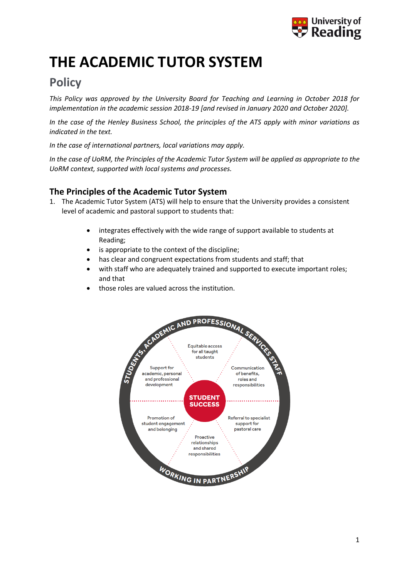

# **THE ACADEMIC TUTOR SYSTEM**

# **Policy**

*This Policy was approved by the University Board for Teaching and Learning in October 2018 for implementation in the academic session 2018-19 [and revised in January 2020 and October 2020].*

*In the case of the Henley Business School, the principles of the ATS apply with minor variations as indicated in the text.* 

*In the case of international partners, local variations may apply.*

*In the case of UoRM, the Principles of the Academic Tutor System will be applied as appropriate to the UoRM context, supported with local systems and processes.* 

# **The Principles of the Academic Tutor System**

- 1. The Academic Tutor System (ATS) will help to ensure that the University provides a consistent level of academic and pastoral support to students that:
	- integrates effectively with the wide range of support available to students at Reading;
	- is appropriate to the context of the discipline;
	- has clear and congruent expectations from students and staff; that
	- with staff who are adequately trained and supported to execute important roles; and that
	- those roles are valued across the institution.

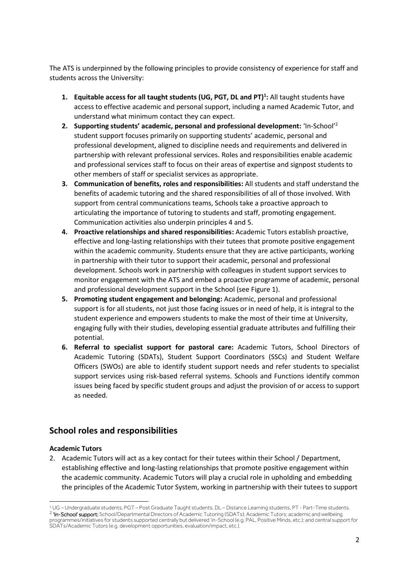The ATS is underpinned by the following principles to provide consistency of experience for staff and students across the University:

- **1. Equitable access for all taught students (UG, PGT, DL and PT)<sup>1</sup> :** All taught students have access to effective academic and personal support, including a named Academic Tutor, and understand what minimum contact they can expect.
- **2. Supporting students' academic, personal and professional development:** 'In-School' 2 student support focuses primarily on supporting students' academic, personal and professional development, aligned to discipline needs and requirements and delivered in partnership with relevant professional services. Roles and responsibilities enable academic and professional services staff to focus on their areas of expertise and signpost students to other members of staff or specialist services as appropriate.
- **3. Communication of benefits, roles and responsibilities:** All students and staff understand the benefits of academic tutoring and the shared responsibilities of all of those involved. With support from central communications teams, Schools take a proactive approach to articulating the importance of tutoring to students and staff, promoting engagement. Communication activities also underpin principles 4 and 5.
- **4. Proactive relationships and shared responsibilities:** Academic Tutors establish proactive, effective and long-lasting relationships with their tutees that promote positive engagement within the academic community. Students ensure that they are active participants, working in partnership with their tutor to support their academic, personal and professional development. Schools work in partnership with colleagues in student support services to monitor engagement with the ATS and embed a proactive programme of academic, personal and professional development support in the School (see Figure 1).
- **5. Promoting student engagement and belonging:** Academic, personal and professional support is for all students, not just those facing issues or in need of help, it is integral to the student experience and empowers students to make the most of their time at University, engaging fully with their studies, developing essential graduate attributes and fulfilling their potential.
- **6. Referral to specialist support for pastoral care:** Academic Tutors, School Directors of Academic Tutoring (SDATs), Student Support Coordinators (SSCs) and Student Welfare Officers (SWOs) are able to identify student support needs and refer students to specialist support services using risk-based referral systems. Schools and Functions identify common issues being faced by specific student groups and adjust the provision of or access to support as needed.

# **School roles and responsibilities**

#### **Academic Tutors**

2. Academic Tutors will act as a key contact for their tutees within their School / Department, establishing effective and long-lasting relationships that promote positive engagement within the academic community. Academic Tutors will play a crucial role in upholding and embedding the principles of the Academic Tutor System, working in partnership with their tutees to support

<sup>1</sup> UG – Undergraduate students, PGT – Post Graduate Taught students, DL – Distance Learning students, PT - Part-Time students. <sup>2</sup> **'In-School' support:** School/Departmental Directors of Academic Tutoring (SDATs); Academic Tutors; academic and wellbeing programmes/initiatives for students supported centrally but delivered 'in-School (e.g. PAL, Positive Minds, etc.); and central support for SDATs/Academic Tutors (e.g. development opportunities, evaluation/impact, etc.).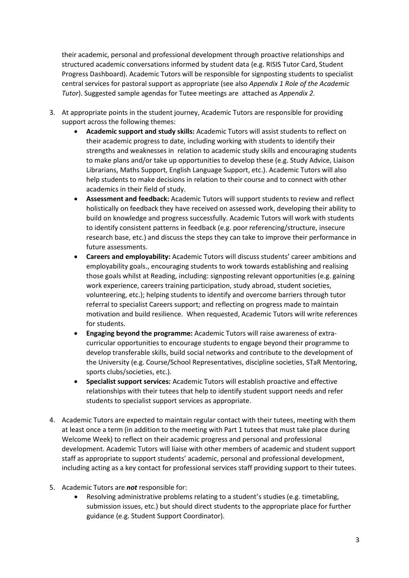their academic, personal and professional development through proactive relationships and structured academic conversations informed by student data (e.g. RISIS Tutor Card, Student Progress Dashboard). Academic Tutors will be responsible for signposting students to specialist central services for pastoral support as appropriate (see also *Appendix 1 Role of the Academic Tutor*). Suggested sample agendas for Tutee meetings are attached as *Appendix 2.*

- 3. At appropriate points in the student journey, Academic Tutors are responsible for providing support across the following themes:
	- **Academic support and study skills:** Academic Tutors will assist students to reflect on their academic progress to date, including working with students to identify their strengths and weaknesses in relation to academic study skills and encouraging students to make plans and/or take up opportunities to develop these (e.g. Study Advice, Liaison Librarians, Maths Support, English Language Support, etc.). Academic Tutors will also help students to make decisions in relation to their course and to connect with other academics in their field of study.
	- **Assessment and feedback:** Academic Tutors will support students to review and reflect holistically on feedback they have received on assessed work, developing their ability to build on knowledge and progress successfully. Academic Tutors will work with students to identify consistent patterns in feedback (e.g. poor referencing/structure, insecure research base, etc.) and discuss the steps they can take to improve their performance in future assessments.
	- **Careers and employability:** Academic Tutors will discuss students' career ambitions and employability goals., encouraging students to work towards establishing and realising those goals whilst at Reading, including: signposting relevant opportunities (e.g. gaining work experience, careers training participation, study abroad, student societies, volunteering, etc.); helping students to identify and overcome barriers through tutor referral to specialist Careers support; and reflecting on progress made to maintain motivation and build resilience. When requested, Academic Tutors will write references for students.
	- **Engaging beyond the programme:** Academic Tutors will raise awareness of extracurricular opportunities to encourage students to engage beyond their programme to develop transferable skills, build social networks and contribute to the development of the University (e.g. Course/School Representatives, discipline societies, STaR Mentoring, sports clubs/societies, etc.).
	- **Specialist support services:** Academic Tutors will establish proactive and effective relationships with their tutees that help to identify student support needs and refer students to specialist support services as appropriate.
- 4. Academic Tutors are expected to maintain regular contact with their tutees, meeting with them at least once a term (in addition to the meeting with Part 1 tutees that must take place during Welcome Week) to reflect on their academic progress and personal and professional development. Academic Tutors will liaise with other members of academic and student support staff as appropriate to support students' academic, personal and professional development, including acting as a key contact for professional services staff providing support to their tutees.
- 5. Academic Tutors are *not* responsible for:
	- Resolving administrative problems relating to a student's studies (e.g. timetabling, submission issues, etc.) but should direct students to the appropriate place for further guidance (e.g. Student Support Coordinator).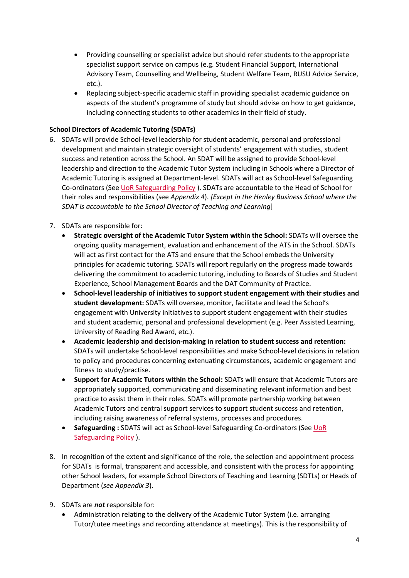- Providing counselling or specialist advice but should refer students to the appropriate specialist support service on campus (e.g. Student Financial Support, International Advisory Team, Counselling and Wellbeing, Student Welfare Team, RUSU Advice Service, etc.).
- Replacing subject-specific academic staff in providing specialist academic guidance on aspects of the student's programme of study but should advise on how to get guidance, including connecting students to other academics in their field of study.

#### **School Directors of Academic Tutoring (SDATs)**

6. SDATs will provide School-level leadership for student academic, personal and professional development and maintain strategic oversight of students' engagement with studies, student success and retention across the School. An SDAT will be assigned to provide School-level leadership and direction to the Academic Tutor System including in Schools where a Director of Academic Tutoring is assigned at Department-level. SDATs will act as School-level Safeguarding Co-ordinators (See [UoR Safeguarding Policy](https://www.reading.ac.uk/web/files/engaging-everyone/UoR_Safeguarding_Policy_2020_-_Final_Approved.pdf) ). SDATs are accountable to the Head of School for their roles and responsibilities (see *Appendix 4*). *[Except in the Henley Business School where the SDAT is accountable to the School Director of Teaching and Learning*]

#### 7. SDATs are responsible for:

- **Strategic oversight of the Academic Tutor System within the School:** SDATs will oversee the ongoing quality management, evaluation and enhancement of the ATS in the School. SDATs will act as first contact for the ATS and ensure that the School embeds the University principles for academic tutoring. SDATs will report regularly on the progress made towards delivering the commitment to academic tutoring, including to Boards of Studies and Student Experience, School Management Boards and the DAT Community of Practice.
- **School-level leadership of initiatives to support student engagement with their studies and student development:** SDATs will oversee, monitor, facilitate and lead the School's engagement with University initiatives to support student engagement with their studies and student academic, personal and professional development (e.g. Peer Assisted Learning, University of Reading Red Award, etc.).
- **Academic leadership and decision-making in relation to student success and retention:** SDATs will undertake School-level responsibilities and make School-level decisions in relation to policy and procedures concerning extenuating circumstances, academic engagement and fitness to study/practise.
- **Support for Academic Tutors within the School:** SDATs will ensure that Academic Tutors are appropriately supported, communicating and disseminating relevant information and best practice to assist them in their roles. SDATs will promote partnership working between Academic Tutors and central support services to support student success and retention, including raising awareness of referral systems, processes and procedures.
- **Safeguarding :** SDATS will act as School-level Safeguarding Co-ordinators (Se[e UoR](https://www.reading.ac.uk/web/files/engaging-everyone/UoR_Safeguarding_Policy_2020_-_Final_Approved.pdf)  [Safeguarding Policy](https://www.reading.ac.uk/web/files/engaging-everyone/UoR_Safeguarding_Policy_2020_-_Final_Approved.pdf) ).
- 8. In recognition of the extent and significance of the role, the selection and appointment process for SDATs is formal, transparent and accessible, and consistent with the process for appointing other School leaders, for example School Directors of Teaching and Learning (SDTLs) or Heads of Department (*see Appendix 3*).
- 9. SDATs are *not* responsible for:
	- Administration relating to the delivery of the Academic Tutor System (i.e. arranging Tutor/tutee meetings and recording attendance at meetings). This is the responsibility of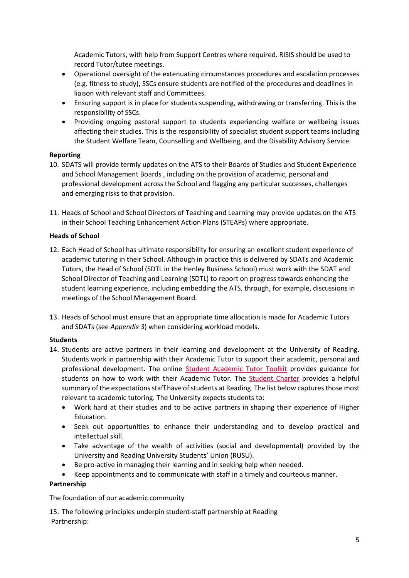Academic Tutors, with help from Support Centres where required. RISIS should be used to record Tutor/tutee meetings.

- Operational oversight of the extenuating circumstances procedures and escalation processes (e.g. fitness to study), SSCs ensure students are notified of the procedures and deadlines in liaison with relevant staff and Committees.
- Ensuring support is in place for students suspending, withdrawing or transferring. This is the responsibility of SSCs.
- Providing ongoing pastoral support to students experiencing welfare or wellbeing issues affecting their studies. This is the responsibility of specialist student support teams including the Student Welfare Team, Counselling and Wellbeing, and the Disability Advisory Service.

#### **Reporting**

- 10. SDATS will provide termly updates on the ATS to their Boards of Studies and Student Experience and School Management Boards , including on the provision of academic, personal and professional development across the School and flagging any particular successes, challenges and emerging risks to that provision.
- 11. Heads of School and School Directors of Teaching and Learning may provide updates on the ATS in their School Teaching Enhancement Action Plans (STEAPs) where appropriate.

#### **Heads of School**

- 12. Each Head of School has ultimate responsibility for ensuring an excellent student experience of academic tutoring in their School. Although in practice this is delivered by SDATs and Academic Tutors, the Head of School (SDTL in the Henley Business School) must work with the SDAT and School Director of Teaching and Learning (SDTL) to report on progress towards enhancing the student learning experience, including embedding the ATS, through, for example, discussions in meetings of the School Management Board.
- 13. Heads of School must ensure that an appropriate time allocation is made for Academic Tutors and SDATs (see *Appendix 3*) when considering workload models.

#### **Students**

- 14. Students are active partners in their learning and development at the University of Reading. Students work in partnership with their Academic Tutor to support their academic, personal and professional development. The online [Student Academic Tutor Toolkit](http://student.reading.ac.uk/essentials/_study/academic-tutors.aspx) provides guidance for students on how to work with their Academic Tutor. The **Student Charter** provides a helpful summary of the expectations staff have of students at Reading. The list below captures those most relevant to academic tutoring. The University expects students to:
	- Work hard at their studies and to be active partners in shaping their experience of Higher Education.
	- Seek out opportunities to enhance their understanding and to develop practical and intellectual skill.
	- Take advantage of the wealth of activities (social and developmental) provided by the University and Reading University Students' Union (RUSU).
	- Be pro-active in managing their learning and in seeking help when needed.
	- Keep appointments and to communicate with staff in a timely and courteous manner.

#### **Partnership**

The foundation of our academic community

15. The following principles underpin student-staff partnership at Reading Partnership: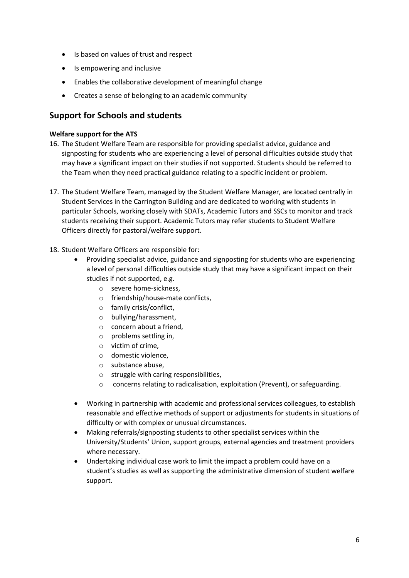- Is based on values of trust and respect
- Is empowering and inclusive
- Enables the collaborative development of meaningful change
- Creates a sense of belonging to an academic community

## **Support for Schools and students**

#### **Welfare support for the ATS**

- 16. The Student Welfare Team are responsible for providing specialist advice, guidance and signposting for students who are experiencing a level of personal difficulties outside study that may have a significant impact on their studies if not supported. Students should be referred to the Team when they need practical guidance relating to a specific incident or problem.
- 17. The Student Welfare Team, managed by the Student Welfare Manager, are located centrally in Student Services in the Carrington Building and are dedicated to working with students in particular Schools, working closely with SDATs, Academic Tutors and SSCs to monitor and track students receiving their support. Academic Tutors may refer students to Student Welfare Officers directly for pastoral/welfare support.

#### 18. Student Welfare Officers are responsible for:

- Providing specialist advice, guidance and signposting for students who are experiencing a level of personal difficulties outside study that may have a significant impact on their studies if not supported, e.g.
	- o severe home-sickness,
	- o friendship/house-mate conflicts,
	- o family crisis/conflict,
	- o bullying/harassment,
	- o concern about a friend,
	- o problems settling in,
	- o victim of crime,
	- o domestic violence,
	- o substance abuse,
	- o struggle with caring responsibilities,
	- o concerns relating to radicalisation, exploitation (Prevent), or safeguarding.
- Working in partnership with academic and professional services colleagues, to establish reasonable and effective methods of support or adjustments for students in situations of difficulty or with complex or unusual circumstances.
- Making referrals/signposting students to other specialist services within the University/Students' Union, support groups, external agencies and treatment providers where necessary.
- Undertaking individual case work to limit the impact a problem could have on a student's studies as well as supporting the administrative dimension of student welfare support.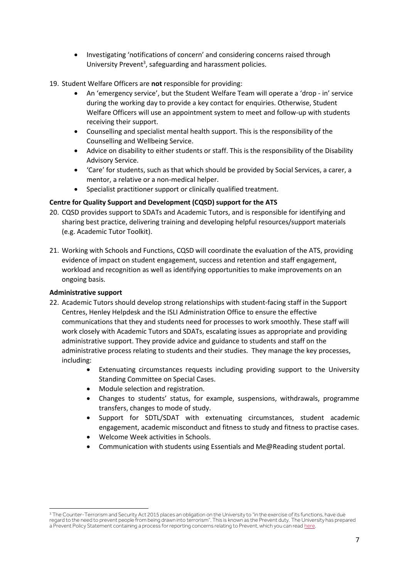- Investigating 'notifications of concern' and considering concerns raised through University Prevent<sup>3</sup>, safeguarding and harassment policies.
- 19. Student Welfare Officers are **not** responsible for providing:
	- An 'emergency service', but the Student Welfare Team will operate a 'drop in' service during the working day to provide a key contact for enquiries. Otherwise, Student Welfare Officers will use an appointment system to meet and follow-up with students receiving their support.
	- Counselling and specialist mental health support. This is the responsibility of the Counselling and Wellbeing Service.
	- Advice on disability to either students or staff. This is the responsibility of the Disability Advisory Service.
	- 'Care' for students, such as that which should be provided by Social Services, a carer, a mentor, a relative or a non-medical helper.
	- Specialist practitioner support or clinically qualified treatment.

#### **Centre for Quality Support and Development (CQSD) support for the ATS**

- 20. CQSD provides support to SDATs and Academic Tutors, and is responsible for identifying and sharing best practice, delivering training and developing helpful resources/support materials (e.g. Academic Tutor Toolkit).
- 21. Working with Schools and Functions, CQSD will coordinate the evaluation of the ATS, providing evidence of impact on student engagement, success and retention and staff engagement, workload and recognition as well as identifying opportunities to make improvements on an ongoing basis.

#### **Administrative support**

- 22. Academic Tutors should develop strong relationships with student-facing staff in the Support Centres, Henley Helpdesk and the ISLI Administration Office to ensure the effective communications that they and students need for processes to work smoothly. These staff will work closely with Academic Tutors and SDATs, escalating issues as appropriate and providing administrative support. They provide advice and guidance to students and staff on the administrative process relating to students and their studies. They manage the key processes, including:
	- Extenuating circumstances requests including providing support to the University Standing Committee on Special Cases.
	- Module selection and registration.
	- Changes to students' status, for example, suspensions, withdrawals, programme transfers, changes to mode of study.
	- Support for SDTL/SDAT with extenuating circumstances, student academic engagement, academic misconduct and fitness to study and fitness to practise cases.
	- Welcome Week activities in Schools.
	- Communication with students using Essentials and Me@Reading student portal.

 $3$  The Counter-Terrorism and Security Act 2015 places an obligation on the University to "in the exercise of its functions, have due regard to the need to prevent people from being drawn into terrorism". This is known as the Prevent duty. The University has prepared a Prevent Policy Statement containing a process for reporting concerns relating to Prevent, which you can rea[d here.](http://www.reading.ac.uk/web/files/office-of-the-university-secretary/UoR_Approach_to_the_Prevent_Duty.pdf)